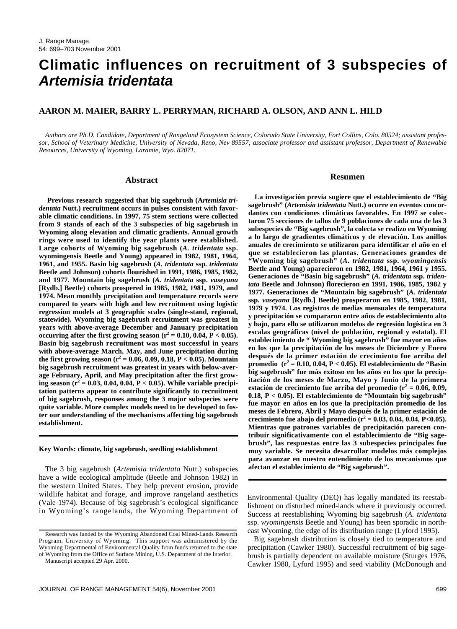# **Climatic influences on recruitment of 3 subspecies of Artemisia tridentata**

# **AARON M. MAIER, BARRY L. PERRYMAN, RICHARD A. OLSON, AND ANN L. HILD**

*Authors are Ph.D. Candidate, Department of Rangeland Ecosystem Science, Colorado State University, Fort Collins, Colo. 80524; assistant professor, School of Veterinary Medicine, University of Nevada, Reno, Nev 89557; associate professor and assistant professor, Department of Renewable Resources, University of Wyoming, Laramie, Wyo. 82071.* 

#### **Abstract**

**Previous research suggested that big sagebrush (A***rtemisia tridentata* **Nutt.) recruitment occurs in pulses consistent with favorable climatic conditions. In 1997, 75 stem sections were collected from 9 stands of each of the 3 subspecies of big sagebrush in Wyoming along elevation and climatic gradients. Annual growth rings were used to identify the year plants were established. Large cohorts of Wyoming big sagebrush (***A. tridentata* **ssp. wyomingensis Beetle and Young) appeared in 1982, 1981, 1964, 1961, and 1955. Basin big sagebrush (***A. tridentata* **ssp.** *tridentata* **Beetle and Johnson) cohorts flourished in 1991, 1986, 1985, 1982, and 1977. Mountain big sagebrush (***A. tridentata* **ssp.** *vaseyana* **[Rydb.] Beetle) cohorts prospered in 1985, 1982, 1981, 1979, and 1974. Mean monthly precipitation and temperature records were compared to years with high and low recruitment using logistic regression models at 3 geographic scales (single-stand, regional, statewide). Wyoming big sagebrush recruitment was greatest in years with above-average December and January precipitation** occurring after the first growing season  $(r^2 = 0.10, 0.04, P < 0.05)$ . **Basin big sagebrush recruitment was most successful in years with above-average March, May, and June precipitation during** the first growing season ( $r^2 = 0.06, 0.09, 0.18, P < 0.05$ ). Mountain **big sagebrush recruitment was greatest in years with below-average February, April, and May precipitation after the first growing season (r<sup>2</sup> = 0.03, 0.04, 0.04, P < 0.05). While variable precipitation patterns appear to contribute significantly to recruitment of big sagebrush, responses among the 3 major subspecies were quite variable. More complex models need to be developed to foster our understanding of the mechanisms affecting big sagebrush establishment.**

#### **Key Words: climate, big sagebrush, seedling establishment**

The 3 big sagebrush (*Artemisia tridentata* Nutt.) subspecies have a wide ecological amplitude (Beetle and Johnson 1982) in the western United States. They help prevent erosion, provide wildlife habitat and forage, and improve rangeland aesthetics (Vale 1974). Because of big sagebrush's ecological significance in Wyoming's rangelands, the Wyoming Department of

#### **Resumen**

**La investigación previa sugiere que el establecimiento de "Big sagebrush" (***Artemisia tridentata* **Nutt.) ocurre en eventos concordantes con condiciones climáticas favorables. En 1997 se colectaron 75 secciones de tallos de 9 poblaciones de cada una de las 3 subespecies de "Big sagebrush", la colecta se realizo en Wyoming a lo largo de gradientes climáticos y de elevación. Los anillos anuales de crecimiento se utilizaron para identificar el año en el que se establecieron las plantas. Generaciones grandes de "Wyoming big sagebrush" (***A. tridentata* **ssp.** *wyomingensis* **Beetle and Young) aparecieron en 1982, 1981, 1964, 1961 y 1955. Generaciones de "Basin big sagebrush" (***A. tridentata* **ssp.** *tridentata* **Beetle and Johnson) florecieron en 1991, 1986, 1985, 1982 y 1977. Generaciones de "Mountain big sagebrush" (***A. tridentata* **ssp.** *vaseyana* **[Rydb.] Beetle) prosperaron en 1985, 1982, 1981, 1979 y 1974. Los registros de medias mensuales de temperatura y precipitación se compararon entre años de establecimiento alto y bajo, para ello se utilizaron modelos de regresión logística en 3 escalas geográficas (nivel de población, regional y estatal). El establecimiento de " Wyoming big sagebrush" fue mayor en años en los que la precipitación de los meses de Diciembre y Enero después de la primer estación de crecimiento fue arriba del promedio** ( $r^2 = 0.10, 0.04, P < 0.05$ ). El establecimiento de "Basin **big sagebrush" fue más exitoso en los años en los que la precipitación de los meses de Marzo, Mayo y Junio de la primera** estación de crecimiento fue arriba del promedio ( $r^2 = 0.06, 0.09$ , **0.18, P < 0.05). El establecimiento de "Mountain big sagebrush" fue mayor en años en los que la precipitación promedio de los meses de Febrero, Abril y Mayo después de la primer estación de** crecimiento fue abajo del promedio ( $r^2 = 0.03, 0.04, 0.04, P < 0.05$ ). **Mientras que patrones variables de precipitación parecen contribuir significativamente con el establecimiento de "Big sagebrush", las respuestas entre las 3 subespecies principales fue muy variable. Se necesita desarrollar modelos más complejos para avanzar en nuestro entendimiento de los mecanismos que afectan el establecimiento de "Big sagebrush".**

Environmental Quality (DEQ) has legally mandated its reestablishment on disturbed mined-lands where it previously occurred. Success at reestablishing Wyoming big sagebrush (*A. tridentata* ssp. *wyomingensis* Beetle and Young) has been sporadic in northeast Wyoming, the edge of its distribution range (Lyford 1995).

Big sagebrush distribution is closely tied to temperature and precipitation (Cawker 1980). Successful recruitment of big sagebrush is partially dependent on available moisture (Sturges 1976, Cawker 1980, Lyford 1995) and seed viability (McDonough and

Research was funded by the Wyoming Abandoned Coal Mined-Lands Research Program, University of Wyoming. This support was administered by the Wyoming Departmental of Environmental Quality from funds returned to the state of Wyoming from the Office of Surface Mining, U.S. Department of the Interior.

Manuscript accepted 29 Apr. 2000.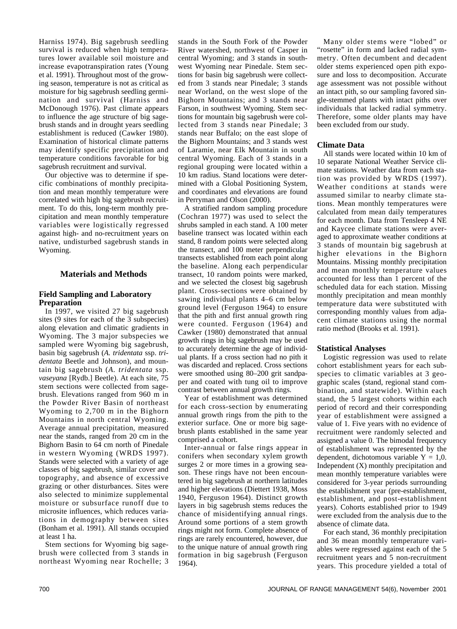Harniss 1974). Big sagebrush seedling survival is reduced when high temperatures lower available soil moisture and increase evapotranspiration rates (Young et al. 1991). Throughout most of the growing season, temperature is not as critical as moisture for big sagebrush seedling germination and survival (Harniss and McDonough 1976). Past climate appears to influence the age structure of big sagebrush stands and in drought years seedling establishment is reduced (Cawker 1980). Examination of historical climate patterns may identify specific precipitation and temperature conditions favorable for big sagebrush recruitment and survival.

Our objective was to determine if specific combinations of monthly precipitation and mean monthly temperature were correlated with high big sagebrush recruitment. To do this, long-term monthly precipitation and mean monthly temperature variables were logistically regressed against high- and no-recruitment years on native, undisturbed sagebrush stands in Wyoming.

# **Materials and Methods**

## **Field Sampling and Laboratory Preparation**

In 1997, we visited 27 big sagebrush sites (9 sites for each of the 3 subspecies) along elevation and climatic gradients in Wyoming. The 3 major subspecies we sampled were Wyoming big sagebrush, basin big sagebrush (*A. tridentata* ssp. *tridentata* Beetle and Johnson), and mountain big sagebrush (*A. tridentata* ssp. vaseyana [Rydb.] Beetle). At each site,  $75$ stem sections were collected from sagebrush. Elevations ranged from 960 m in the Powder River Basin of northeast Wyoming to 2,700 m in the Bighorn Mountains in north central Wyoming. Average annual precipitation, measured near the stands, ranged from 20 cm in the Bighorn Basin to 64 cm north of Pinedale in western Wyoming (WRDS 1997). Stands were selected with a variety of age classes of big sagebrush, similar cover and topography, and absence of excessive grazing or other disturbances. Sites were also selected to minimize supplemental moisture or subsurface runoff due to microsite influences, which reduces variations in demography between sites (Bonham et al. 1991). All stands occupied at least 1 ha.

Stem sections for Wyoming big sagebrush were collected from 3 stands in northeast Wyoming near Rochelle; 3

stands in the South Fork of the Powder River watershed, northwest of Casper in central Wyoming; and 3 stands in southwest Wyoming near Pinedale. Stem sections for basin big sagebrush were collected from 3 stands near Pinedale; 3 stands near Worland, on the west slope of the Bighorn Mountains; and 3 stands near Farson, in southwest Wyoming. Stem sections for mountain big sagebrush were collected from 3 stands near Pinedale; 3 stands near Buffalo; on the east slope of the Bighorn Mountains; and 3 stands west of Laramie, near Elk Mountain in south central Wyoming. Each of 3 stands in a regional grouping were located within a 10 km radius. Stand locations were determined with a Global Positioning System, and coordinates and elevations are found in Perryman and Olson (2000).

A stratified random sampling procedure (Cochran 1977) was used to select the shrubs sampled in each stand. A 100 meter baseline transect was located within each stand, 8 random points were selected along the transect, and 100 meter perpendicular transects established from each point along the baseline. Along each perpendicular transect, 10 random points were marked, and we selected the closest big sagebrush plant. Cross-sections were obtained by sawing individual plants 4–6 cm below ground level (Ferguson 1964) to ensure that the pith and first annual growth ring were counted. Ferguson (1964) and Cawker (1980) demonstrated that annual growth rings in big sagebrush may be used to accurately determine the age of individual plants. If a cross section had no pith it was discarded and replaced. Cross sections were smoothed using 80–200 grit sandpaper and coated with tung oil to improve contrast between annual growth rings.

Year of establishment was determined for each cross-section by enumerating annual growth rings from the pith to the exterior surface. One or more big sagebrush plants established in the same year comprised a cohort.

Inter-annual or false rings appear in conifers when secondary xylem growth surges 2 or more times in a growing season. These rings have not been encountered in big sagebrush at northern latitudes and higher elevations (Diettert 1938, Moss 1940, Ferguson 1964). Distinct growth layers in big sagebrush stems reduces the chance of misidentifying annual rings. Around some portions of a stem growth rings might not form. Complete absence of rings are rarely encountered, however, due to the unique nature of annual growth ring formation in big sagebrush (Ferguson 1964).

Many older stems were "lobed" or "rosette" in form and lacked radial symmetry. Often decumbent and decadent older stems experienced open pith exposure and loss to decomposition. Accurate age assessment was not possible without an intact pith, so our sampling favored single-stemmed plants with intact piths over individuals that lacked radial symmetry. Therefore, some older plants may have been excluded from our study.

## **Climate Data**

All stands were located within 10 km of 10 separate National Weather Service climate stations. Weather data from each station was provided by WRDS (1997). Weather conditions at stands were assumed similar to nearby climate stations. Mean monthly temperatures were calculated from mean daily temperatures for each month. Data from Tensleep 4 NE and Kaycee climate stations were averaged to approximate weather conditions at 3 stands of mountain big sagebrush at higher elevations in the Bighorn Mountains. Missing monthly precipitation and mean monthly temperature values accounted for less than 1 percent of the scheduled data for each station. Missing monthly precipitation and mean monthly temperature data were substituted with corresponding monthly values from adjacent climate stations using the normal ratio method (Brooks et al. 1991).

# **Statistical Analyses**

Logistic regression was used to relate cohort establishment years for each subspecies to climatic variables at 3 geographic scales (stand, regional stand combination, and statewide). Within each stand, the 5 largest cohorts within each period of record and their corresponding year of establishment were assigned a value of 1. Five years with no evidence of recruitment were randomly selected and assigned a value 0. The bimodal frequency of establishment was represented by the dependent, dichotomous variable  $Y = 1,0$ . Independent (X) monthly precipitation and mean monthly temperature variables were considered for 3-year periods surrounding the establishment year (pre-establishment, establishment, and post-establishment years). Cohorts established prior to 1949 were excluded from the analysis due to the absence of climate data.

For each stand, 36 monthly precipitation and 36 mean monthly temperature variables were regressed against each of the 5 recruitment years and 5 non-recruitment years. This procedure yielded a total of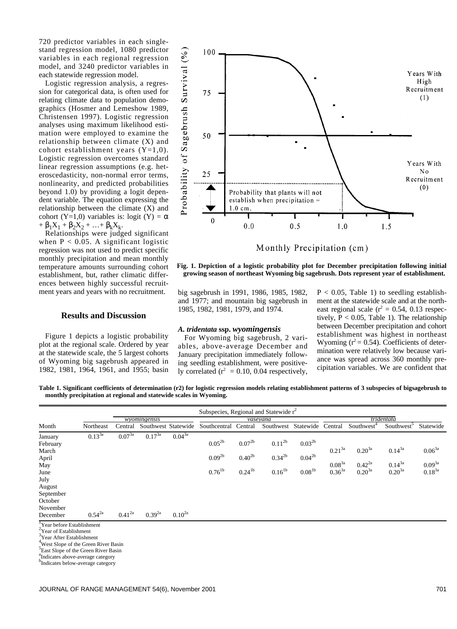720 predictor variables in each singlestand regression model, 1080 predictor variables in each regional regression model, and 3240 predictor variables in each statewide regression model.

Logistic regression analysis, a regression for categorical data, is often used for relating climate data to population demographics (Hosmer and Lemeshow 1989, Christensen 1997). Logistic regression analyses using maximum likelihood estimation were employed to examine the relationship between climate (X) and cohort establishment years  $(Y=1,0)$ . Logistic regression overcomes standard linear regression assumptions (e.g. heteroscedasticity, non-normal error terms, nonlinearity, and predicted probabilities beyond 1.0) by providing a logit dependent variable. The equation expressing the relationship between the climate (X) and cohort (Y=1,0) variables is: logit (Y) =  $\alpha$  $+ \beta_1 X_1 + \beta_2 X_2 + ... + \beta_k X_k$ .

Relationships were judged significant when  $P < 0.05$ . A significant logistic regression was not used to predict specific monthly precipitation and mean monthly temperature amounts surrounding cohort establishment, but, rather climatic differences between highly successful recruitment years and years with no recruitment.

# **Results and Discussion**

Figure 1 depicts a logistic probability plot at the regional scale. Ordered by year at the statewide scale, the 5 largest cohorts of Wyoming big sagebrush appeared in 1982, 1981, 1964, 1961, and 1955; basin



**Fig. 1. Depiction of a logistic probability plot for December precipitation following initial growing season of northeast Wyoming big sagebrush. Dots represent year of establishment.**

big sagebrush in 1991, 1986, 1985, 1982, and 1977; and mountain big sagebrush in 1985, 1982, 1981, 1979, and 1974.

#### *A. tridentata* **ssp.** *wyomingensis*

For Wyoming big sagebrush, 2 variables, above-average December and January precipitation immediately following seedling establishment, were positively correlated ( $r^2$  = 0.10, 0.04 respectively,

 $P < 0.05$ , Table 1) to seedling establishment at the statewide scale and at the northeast regional scale ( $r^2 = 0.54$ , 0.13 respectively,  $P < 0.05$ , Table 1). The relationship between December precipitation and cohort establishment was highest in northeast Wyoming ( $r^2$  = 0.54). Coefficients of determination were relatively low because variance was spread across 360 monthly precipitation variables. We are confident that

**Table 1. Significant coefficients of determination (r2) for logistic regression models relating establishment patterns of 3 subspecies of bigsagebrush to monthly precipitation at regional and statewide scales in Wyoming.**

|                                     |             | Subspecies, Regional and Statewide $r^2$ |             |                     |                      |             |             |                      |             |                        |                        |             |
|-------------------------------------|-------------|------------------------------------------|-------------|---------------------|----------------------|-------------|-------------|----------------------|-------------|------------------------|------------------------|-------------|
|                                     |             | wyomingensis                             |             |                     | vasevana             |             |             |                      | tridentata  |                        |                        |             |
| Month                               | Northeast   | Central                                  |             | Southwest Statewide | Southcentral Central |             | Southwest   | Statewide Central    |             | Southwest <sup>+</sup> | Southwest <sup>3</sup> | Statewide   |
| January                             | $0.13^{3a}$ | $0.07^{3a}$                              | $0.17^{3a}$ | $0.04^{3a}$         |                      |             |             |                      |             |                        |                        |             |
| February                            |             |                                          |             |                     | $0.05^{2b}$          | $0.07^{2b}$ | $0.11^{2b}$ | $0.03^{2b}$          |             |                        |                        |             |
| March                               |             |                                          |             |                     |                      |             |             |                      | $0.21^{3a}$ | $0.20^{3a}$            | $0.14^{3a}$            | $0.06^{3a}$ |
| April                               |             |                                          |             |                     | $0.09^{2b}$          | $0.40^{2b}$ | $0.34^{2b}$ | $0.04^{2b}$          |             |                        |                        |             |
| May                                 |             |                                          |             |                     |                      |             |             |                      | $0.08^{3a}$ | $0.42^{2a}$            | $0.14^{3a}$            | $0.09^{3a}$ |
| June                                |             |                                          |             |                     | $0.76^{1b}$          | $0.24^{1b}$ | $0.16^{1b}$ | $0.08^{\mathrm{1b}}$ | $0.36^{3a}$ | $0.20^{3a}$            | $0.20^{3a}$            | $0.18^{3a}$ |
| July                                |             |                                          |             |                     |                      |             |             |                      |             |                        |                        |             |
| August                              |             |                                          |             |                     |                      |             |             |                      |             |                        |                        |             |
| September                           |             |                                          |             |                     |                      |             |             |                      |             |                        |                        |             |
| October                             |             |                                          |             |                     |                      |             |             |                      |             |                        |                        |             |
| November                            |             |                                          |             |                     |                      |             |             |                      |             |                        |                        |             |
| December                            | $0.54^{2a}$ | $0.41^{2a}$                              | $0.39^{2a}$ | $0.10^{2a}$         |                      |             |             |                      |             |                        |                        |             |
| Year before Establishment           |             |                                          |             |                     |                      |             |             |                      |             |                        |                        |             |
| $\frac{2}{3}$ Year of Establishment |             |                                          |             |                     |                      |             |             |                      |             |                        |                        |             |

3 Year After Establishment

West Slope of the Green River Basin

<sup>5</sup>East Slope of the Green River Basin

a and step is an securities and

b Indicates below-average category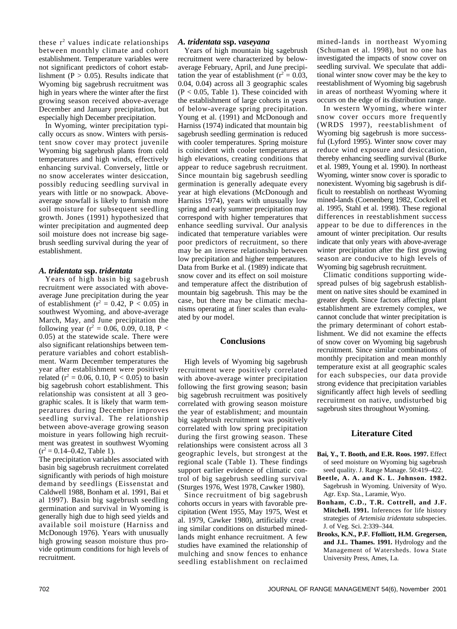these  $r^2$  values indicate relationships between monthly climate and cohort establishment. Temperature variables were not significant predictors of cohort establishment ( $P > 0.05$ ). Results indicate that Wyoming big sagebrush recruitment was high in years where the winter after the first growing season received above-average December and January precipitation, but especially high December precipitation.

In Wyoming, winter precipitation typically occurs as snow. Winters with persistent snow cover may protect juvenile Wyoming big sagebrush plants from cold temperatures and high winds, effectively enhancing survival. Conversely, little or no snow accelerates winter desiccation, possibly reducing seedling survival in years with little or no snowpack. Aboveaverage snowfall is likely to furnish more soil moisture for subsequent seedling growth. Jones (1991) hypothesized that winter precipitation and augmented deep soil moisture does not increase big sagebrush seedling survival during the year of establishment.

## *A. tridentata* **ssp.** *tridentata*

Years of high basin big sagebrush recruitment were associated with aboveaverage June precipitation during the year of establishment ( $r^2 = 0.42$ ,  $P < 0.05$ ) in southwest Wyoming, and above-average March, May, and June precipitation the following year ( $r^2 = 0.06, 0.09, 0.18, P <$ 0.05) at the statewide scale. There were also significant relationships between temperature variables and cohort establishment. Warm December temperatures the year after establishment were positively related ( $r^2 = 0.06, 0.10, P < 0.05$ ) to basin big sagebrush cohort establishment. This relationship was consistent at all 3 geographic scales. It is likely that warm temperatures during December improves seedling survival. The relationship between above-average growing season moisture in years following high recruitment was greatest in southwest Wyoming  $(r^2 = 0.14 - 0.42$ , Table 1).

The precipitation variables associated with basin big sagebrush recruitment correlated significantly with periods of high moisture demand by seedlings (Eissenstat and Caldwell 1988, Bonham et al. 1991, Bai et al 1997). Basin big sagebrush seedling germination and survival in Wyoming is generally high due to high seed yields and available soil moisture (Harniss and McDonough 1976). Years with unusually high growing season moisture thus provide optimum conditions for high levels of recruitment.

## *A. tridentata* **ssp.** *vaseyana*

Years of high mountain big sagebrush recruitment were characterized by belowaverage February, April, and June precipitation the year of establishment ( $r^2 = 0.03$ , 0.04, 0.04) across all 3 geographic scales  $(P < 0.05$ , Table 1). These coincided with the establishment of large cohorts in years of below-average spring precipitation. Young et al. (1991) and McDonough and Harniss (1974) indicated that mountain big sagebrush seedling germination is reduced with cooler temperatures. Spring moisture is coincident with cooler temperatures at high elevations, creating conditions that appear to reduce sagebrush recruitment. Since mountain big sagebrush seedling germination is generally adequate every year at high elevations (McDonough and Harniss 1974), years with unusually low spring and early summer precipitation may correspond with higher temperatures that enhance seedling survival. Our analysis indicated that temperature variables were poor predictors of recruitment, so there may be an inverse relationship between low precipitation and higher temperatures. Data from Burke et al. (1989) indicate that snow cover and its effect on soil moisture and temperature affect the distribution of mountain big sagebrush. This may be the case, but there may be climatic mechanisms operating at finer scales than evaluated by our model.

#### **Conclusions**

High levels of Wyoming big sagebrush recruitment were positively correlated with above-average winter precipitation following the first growing season; basin big sagebrush recruitment was positively correlated with growing season moisture the year of establishment; and mountain big sagebrush recruitment was positively correlated with low spring precipitation during the first growing season. These relationships were consistent across all 3 geographic levels, but strongest at the regional scale (Table 1). These findings support earlier evidence of climatic control of big sagebrush seedling survival (Sturges 1976, West 1978, Cawker 1980).

Since recruitment of big sagebrush cohorts occurs in years with favorable precipitation (Went 1955, May 1975, West et al. 1979, Cawker 1980), artificially creating similar conditions on disturbed minedlands might enhance recruitment. A few studies have examined the relationship of mulching and snow fences to enhance seedling establishment on reclaimed

mined-lands in northeast Wyoming (Schuman et al. 1998), but no one has investigated the impacts of snow cover on seedling survival. We speculate that additional winter snow cover may be the key to reestablishment of Wyoming big sagebrush in areas of northeast Wyoming where it occurs on the edge of its distribution range.

In western Wyoming, where winter snow cover occurs more frequently (WRDS 1997), reestablishment of Wyoming big sagebrush is more successful (Lyford 1995). Winter snow cover may reduce wind exposure and desiccation, thereby enhancing seedling survival (Burke et al. 1989, Young et al. 1990). In northeast Wyoming, winter snow cover is sporadic to nonexistent. Wyoming big sagebrush is difficult to reestablish on northeast Wyoming mined-lands (Coenenberg 1982, Cockrell et al. 1995, Stahl et al. 1998). These regional differences in reestablishment success appear to be due to differences in the amount of winter precipitation. Our results indicate that only years with above-average winter precipitation after the first growing season are conducive to high levels of Wyoming big sagebrush recruitment.

Climatic conditions supporting widespread pulses of big sagebrush establishment on native sites should be examined in greater depth. Since factors affecting plant establishment are extremely complex, we cannot conclude that winter precipitation is the primary determinant of cohort establishment. We did not examine the effects of snow cover on Wyoming big sagebrush recruitment. Since similar combinations of monthly precipitation and mean monthly temperature exist at all geographic scales for each subspecies, our data provide strong evidence that precipitation variables significantly affect high levels of seedling recruitment on native, undisturbed big sagebrush sites throughout Wyoming.

# **Literature Cited**

- **Bai, Y., T. Booth, and E.R. Roos. 1997.** Effect of seed moisture on Wyoming big sagebrush seed quality. J. Range Manage. 50:419–422.
- **Beetle, A. A. and K. L. Johnson. 1982.** Sagebrush in Wyoming. University of Wyo. Agr. Exp. Sta., Laramie, Wyo.
- **Bonham, C.D., T.R. Cottrell, and J.F. Mitchell. 1991.** Inferences for life history strategies of *Artemisia tridentata* subspecies. J. of Veg. Sci. 2:339–344.
- **Brooks, K.N., P.F. Ffolliott, H.M. Gregersen, and J.L. Thames. 1991.** Hydrology and the Management of Watersheds. Iowa State University Press, Ames, I.a.